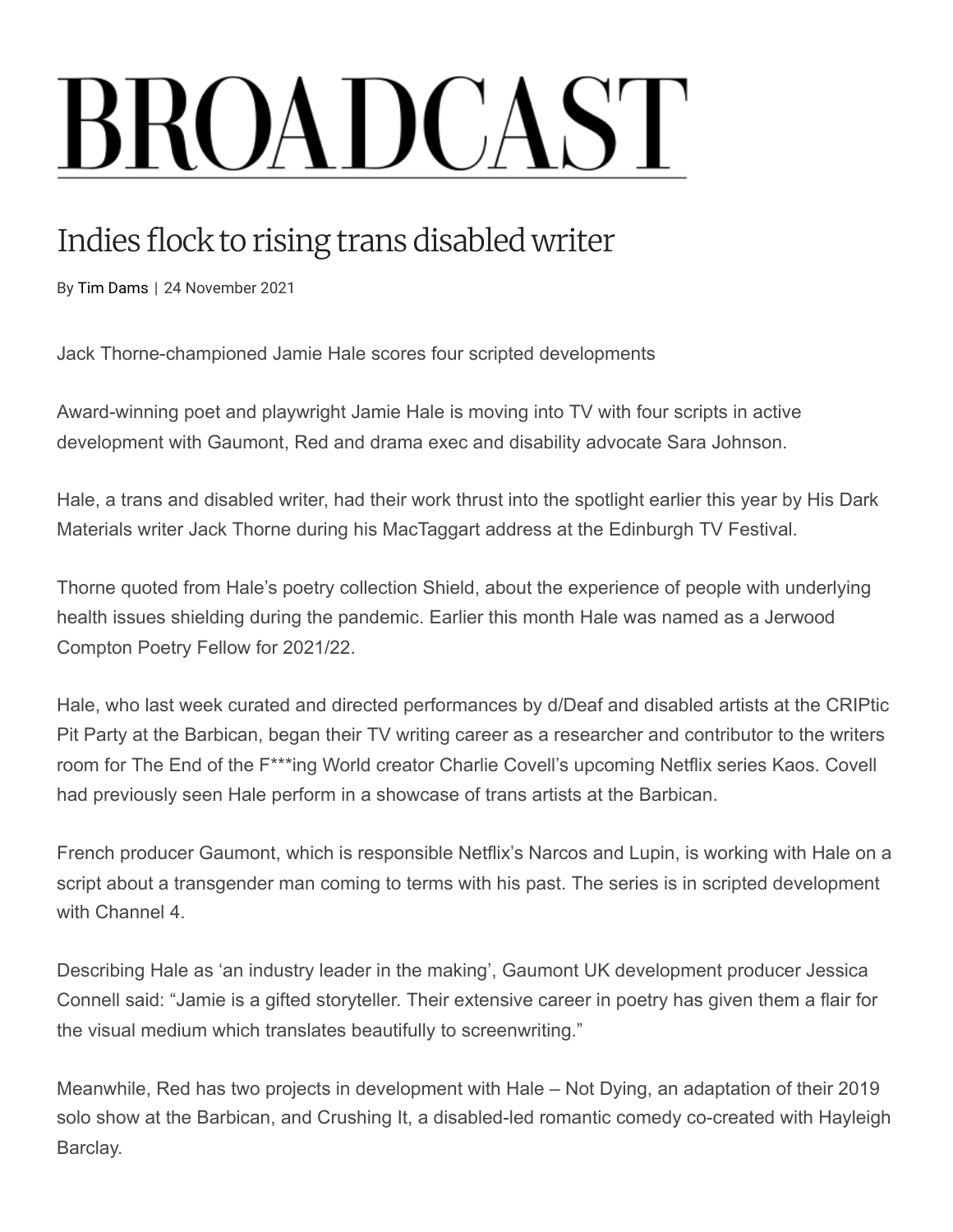# **BROADCAST**

# Indies flock to rising trans disabled writer

By Tim Dams | 24 November 2021

Jack Thorne-championed Jamie Hale scores four scripted developments

Award-winning poet and playwright Jamie Hale is moving into TV with four scripts in active development with Gaumont, Red and drama exec and disability advocate Sara Johnson.

Hale, a trans and disabled writer, had their work thrust into the spotlight earlier this year by His Dark Materials writer Jack Thorne during his MacTaggart address at the Edinburgh TV Festival.

Thorne quoted from Hale's poetry collection Shield, about the experience of people with underlying health issues shielding during the pandemic. Earlier this month Hale was named as a Jerwood Compton Poetry Fellow for 2021/22.

Hale, who last week curated and directed performances by d/Deaf and disabled artists at the CRIPtic Pit Party at the Barbican, began their TV writing career as a researcher and contributor to the writers room for The End of the F\*\*\*ing World creator Charlie Covell's upcoming Netflix series Kaos. Covell had previously seen Hale perform in a showcase of trans artists at the Barbican.

French producer Gaumont, which is responsible Netflix's Narcos and Lupin, is working with Hale on a script about a transgender man coming to terms with his past. The series is in scripted development with Channel 4.

Describing Hale as 'an industry leader in the making', Gaumont UK development producer Jessica Connell said: "Jamie is a gifted storyteller. Their extensive career in poetry has given them a flair for the visual medium which translates beautifully to screenwriting."

Meanwhile, Red has two projects in development with Hale – Not Dying, an adaptation of their 2019 solo show at the Barbican, and Crushing It, a disabled-led romantic comedy co-created with Hayleigh Barclay.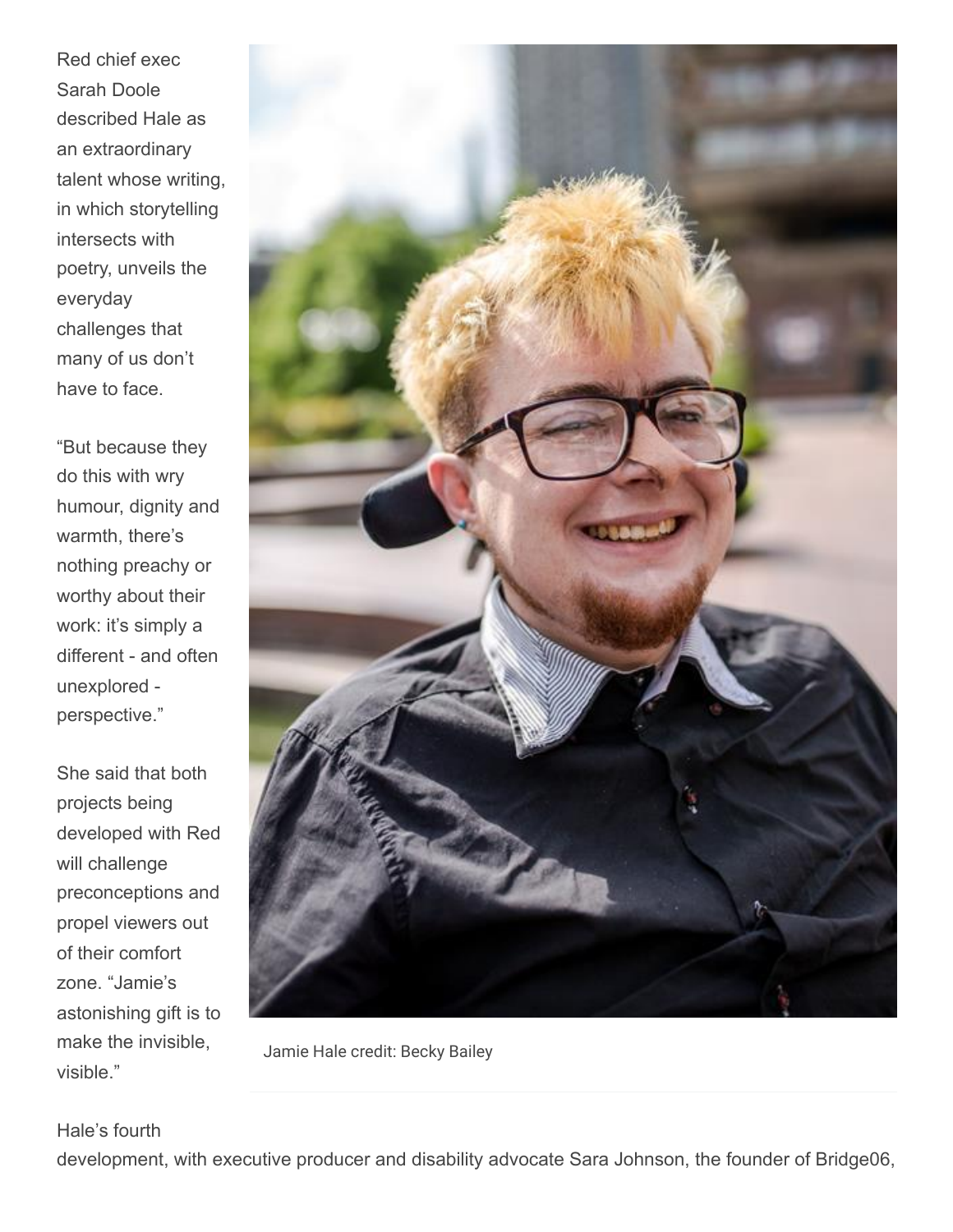Red chief exec Sarah Doole described Hale as an extraordinary talent whose writing, in which storytelling intersects with poetry, unveils the everyday challenges that many of us don't have to face.

"But because they do this with wry humour, dignity and warmth, there's nothing preachy or worthy about their work: it's simply a different - and often unexplored perspective."

She said that both projects being developed with Red will challenge preconceptions and propel viewers out of their comfort zone. "Jamie's astonishing gift is to make the invisible, visible."



Jamie Hale credit: Becky Bailey

#### Hale's fourth

development, with executive producer and disability advocate Sara Johnson, the founder of Bridge06,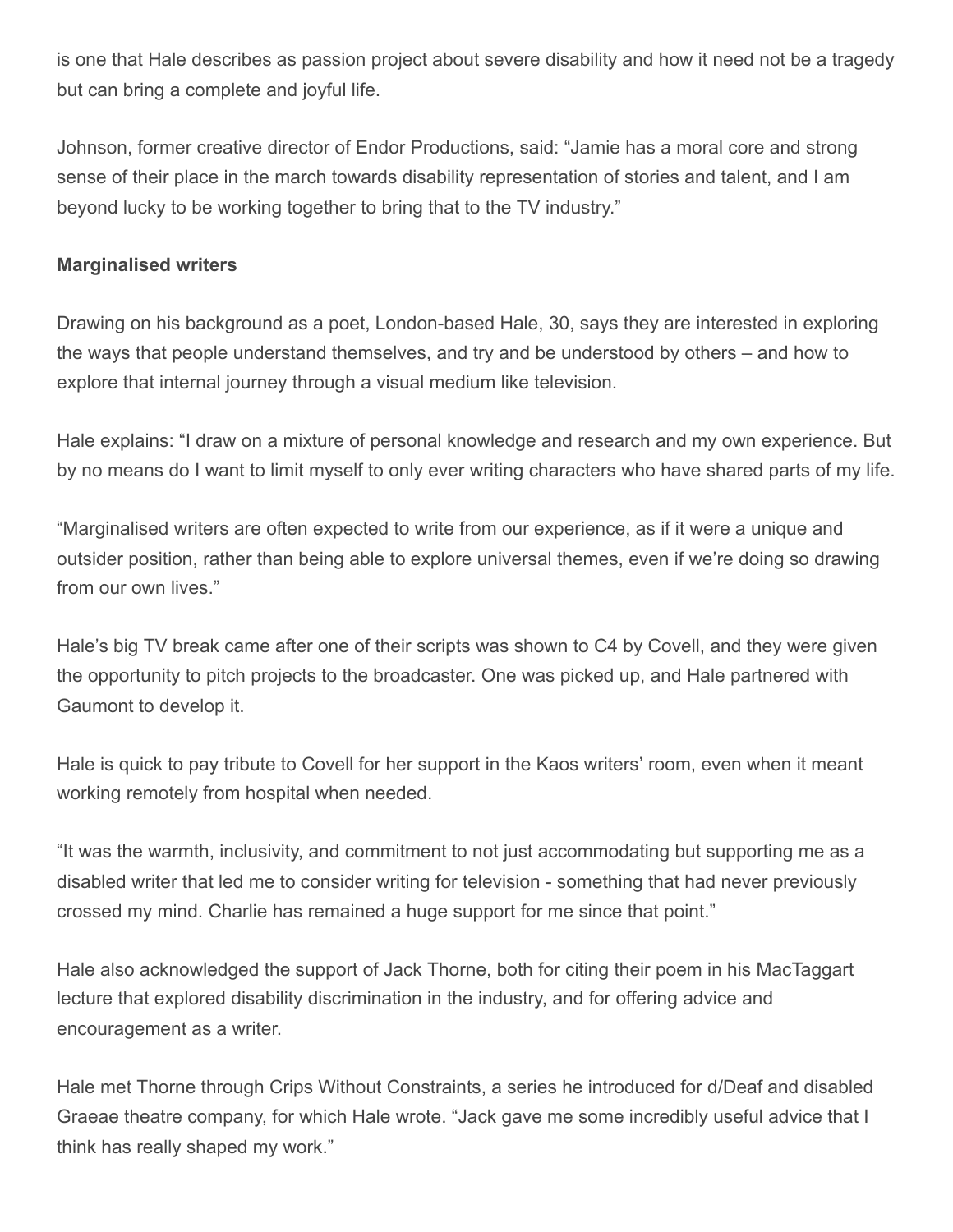is one that Hale describes as passion project about severe disability and how it need not be a tragedy but can bring a complete and joyful life.

Johnson, former creative director of Endor Productions, said: "Jamie has a moral core and strong sense of their place in the march towards disability representation of stories and talent, and I am beyond lucky to be working together to bring that to the TV industry."

## **Marginalised writers**

Drawing on his background as a poet, London-based Hale, 30, says they are interested in exploring the ways that people understand themselves, and try and be understood by others – and how to explore that internal journey through a visual medium like television.

Hale explains: "I draw on a mixture of personal knowledge and research and my own experience. But by no means do I want to limit myself to only ever writing characters who have shared parts of my life.

"Marginalised writers are often expected to write from our experience, as if it were a unique and outsider position, rather than being able to explore universal themes, even if we're doing so drawing from our own lives."

Hale's big TV break came after one of their scripts was shown to C4 by Covell, and they were given the opportunity to pitch projects to the broadcaster. One was picked up, and Hale partnered with Gaumont to develop it.

Hale is quick to pay tribute to Covell for her support in the Kaos writers' room, even when it meant working remotely from hospital when needed.

"It was the warmth, inclusivity, and commitment to not just accommodating but supporting me as a disabled writer that led me to consider writing for television - something that had never previously crossed my mind. Charlie has remained a huge support for me since that point."

Hale also acknowledged the support of Jack Thorne, both for citing their poem in his MacTaggart lecture that explored disability discrimination in the industry, and for offering advice and encouragement as a writer.

Hale met Thorne through Crips Without Constraints, a series he introduced for d/Deaf and disabled Graeae theatre company, for which Hale wrote. "Jack gave me some incredibly useful advice that I think has really shaped my work."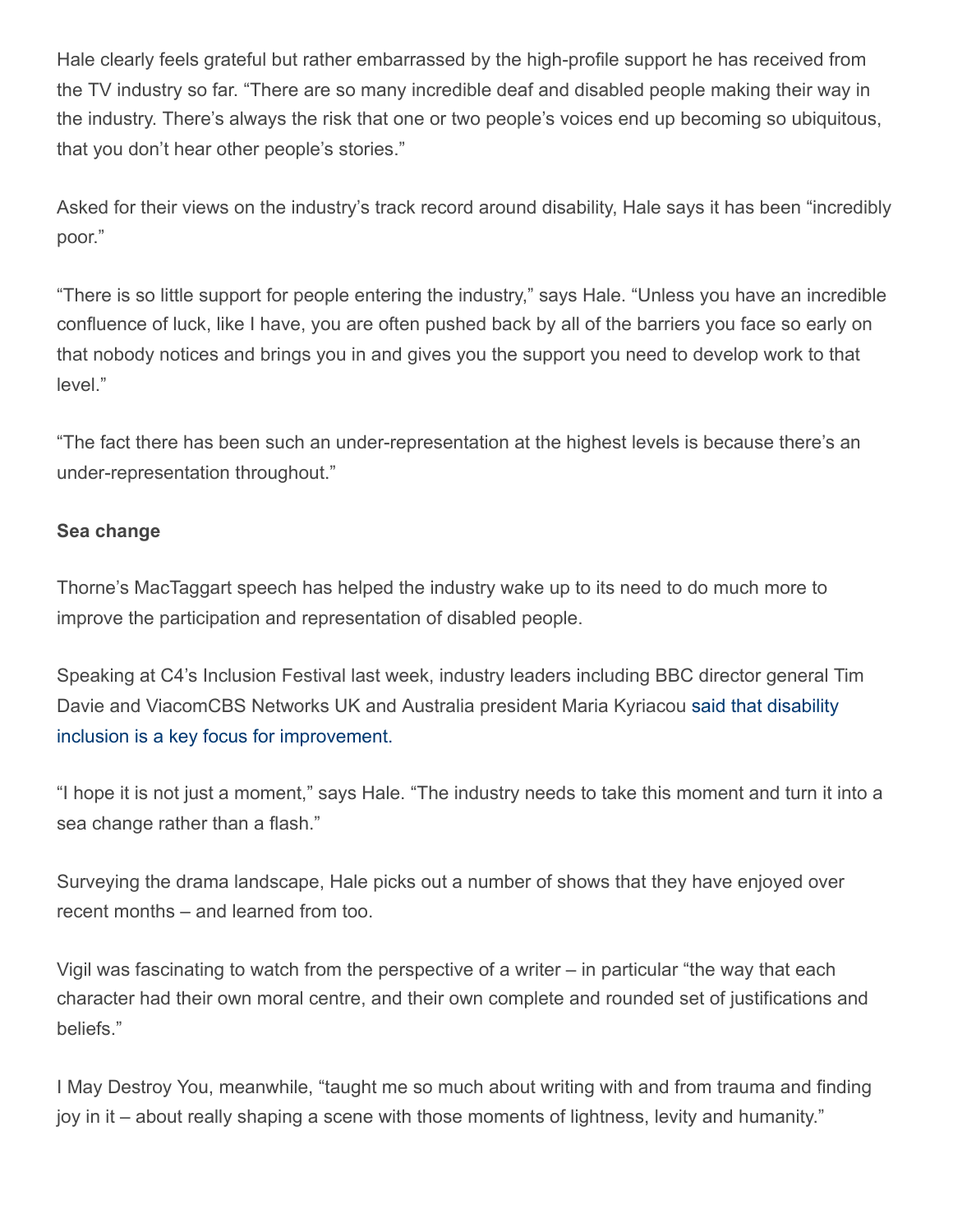Hale clearly feels grateful but rather embarrassed by the high-profile support he has received from the TV industry so far. "There are so many incredible deaf and disabled people making their way in the industry. There's always the risk that one or two people's voices end up becoming so ubiquitous, that you don't hear other people's stories."

Asked for their views on the industry's track record around disability, Hale says it has been "incredibly poor."

"There is so little support for people entering the industry," says Hale. "Unless you have an incredible confluence of luck, like I have, you are often pushed back by all of the barriers you face so early on that nobody notices and brings you in and gives you the support you need to develop work to that level."

"The fact there has been such an under-representation at the highest levels is because there's an under-representation throughout."

## **Sea change**

Thorne's MacTaggart speech has helped the industry wake up to its need to do much more to improve the participation and representation of disabled people.

Speaking at C4's Inclusion Festival last week, industry leaders including BBC director general Tim [Davie and ViacomCBS Networks UK and Australia president Maria Kyriacou said that disability](https://www.broadcastnow.co.uk/broadcasters/psb-bosses-harder-work-needed-to-improve-diversity/5165301.article) inclusion is a key focus for improvement.

"I hope it is not just a moment," says Hale. "The industry needs to take this moment and turn it into a sea change rather than a flash."

Surveying the drama landscape, Hale picks out a number of shows that they have enjoyed over recent months – and learned from too.

Vigil was fascinating to watch from the perspective of a writer – in particular "the way that each character had their own moral centre, and their own complete and rounded set of justifications and beliefs."

I May Destroy You, meanwhile, "taught me so much about writing with and from trauma and finding joy in it – about really shaping a scene with those moments of lightness, levity and humanity."